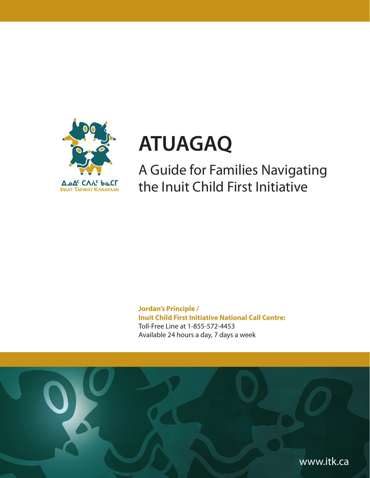

# **ATUAGAQ**

A Guide for Families Navigating the Inuit Child First Initiative

**Jordan's Principle / Inuit Child First Initiative National Call Centre:** Toll-Free Line at 1-855-572-4453 Available 24 hours a day, 7 days a week

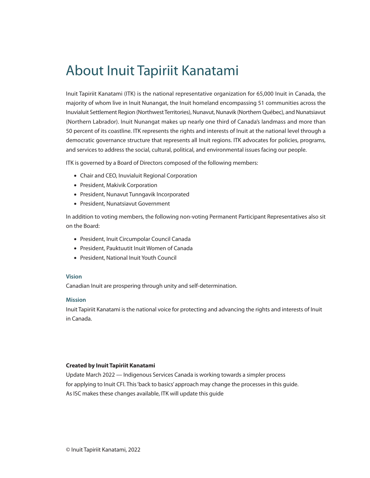# About Inuit Tapiriit Kanatami

Inuit Tapiriit Kanatami (ITK) is the national representative organization for 65,000 Inuit in Canada, the majority of whom live in Inuit Nunangat, the Inuit homeland encompassing 51 communities across the Inuvialuit Settlement Region (Northwest Territories), Nunavut, Nunavik (Northern Québec), and Nunatsiavut (Northern Labrador). Inuit Nunangat makes up nearly one third of Canada's landmass and more than 50 percent of its coastline. ITK represents the rights and interests of Inuit at the national level through a democratic governance structure that represents all Inuit regions. ITK advocates for policies, programs, and services to address the social, cultural, political, and environmental issues facing our people.

ITK is governed by a Board of Directors composed of the following members:

- Chair and CEO, Inuvialuit Regional Corporation
- President, Makivik Corporation
- President, Nunavut Tunngavik Incorporated
- President, Nunatsiavut Government

In addition to voting members, the following non-voting Permanent Participant Representatives also sit on the Board:

- President, Inuit Circumpolar Council Canada
- President, Pauktuutit Inuit Women of Canada
- President, National Inuit Youth Council

## **Vision**

Canadian Inuit are prospering through unity and self-determination.

## **Mission**

Inuit Tapiriit Kanatami is the national voice for protecting and advancing the rights and interests of Inuit in Canada.

## **Created by Inuit Tapiriit Kanatami**

Update March 2022 — Indigenous Services Canada is working towards a simpler process for applying to Inuit CFI. This 'back to basics' approach may change the processes in this guide. As ISC makes these changes available, ITK will update this guide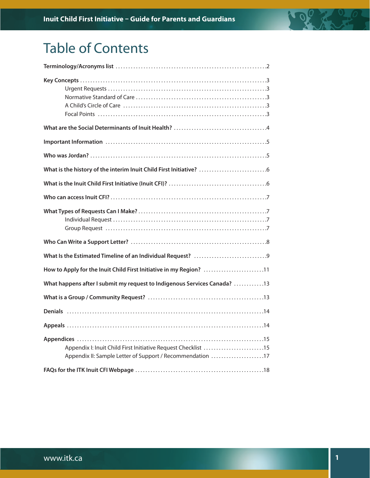

| How to Apply for the Inuit Child First Initiative in my Region? 11                                                         |
|----------------------------------------------------------------------------------------------------------------------------|
| What happens after I submit my request to Indigenous Services Canada? 13                                                   |
|                                                                                                                            |
|                                                                                                                            |
|                                                                                                                            |
| Appendix I: Inuit Child First Initiative Request Checklist 15<br>Appendix II: Sample Letter of Support / Recommendation 17 |
|                                                                                                                            |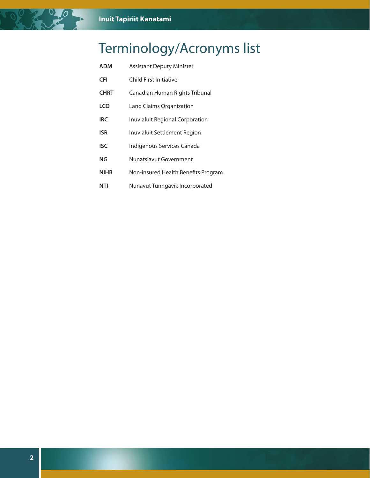# Terminology/Acronyms list

| ADM         | <b>Assistant Deputy Minister</b>       |
|-------------|----------------------------------------|
| CFI         | Child First Initiative                 |
| <b>CHRT</b> | Canadian Human Rights Tribunal         |
| LCO         | Land Claims Organization               |
| IRC.        | <b>Inuvialuit Regional Corporation</b> |
| ISR         | Inuvialuit Settlement Region           |
| ISC         | Indigenous Services Canada             |
| NG          | Nunatsiavut Government                 |
| NIHB        | Non-insured Health Benefits Program    |
|             |                                        |

**NTI** Nunavut Tunngavik Incorporated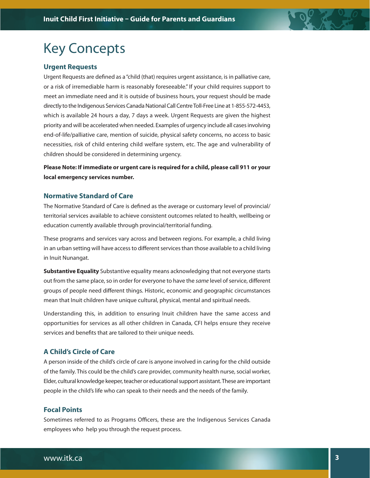# Key Concepts

## **Urgent Requests**

Urgent Requests are defined as a "child (that) requires urgent assistance, is in palliative care, or a risk of irremediable harm is reasonably foreseeable." If your child requires support to meet an immediate need and it is outside of business hours, your request should be made directly to the Indigenous Services Canada National Call Centre Toll-Free Line at 1-855-572-4453, which is available 24 hours a day, 7 days a week. Urgent Requests are given the highest priority and will be accelerated when needed. Examples of urgency include all cases involving end-of-life/palliative care, mention of suicide, physical safety concerns, no access to basic necessities, risk of child entering child welfare system, etc. The age and vulnerability of children should be considered in determining urgency.

**Please Note: If immediate or urgent care is required for a child, please call 911 or your local emergency services number.**

## **Normative Standard of Care**

The Normative Standard of Care is defined as the average or customary level of provincial/ territorial services available to achieve consistent outcomes related to health, wellbeing or education currently available through provincial/territorial funding.

These programs and services vary across and between regions. For example, a child living in an urban setting will have access to different services than those available to a child living in Inuit Nunangat.

**Substantive Equality** Substantive equality means acknowledging that not everyone starts out from the same place, so in order for everyone to have the same level of service, different groups of people need different things. Historic, economic and geographic circumstances mean that Inuit children have unique cultural, physical, mental and spiritual needs.

Understanding this, in addition to ensuring Inuit children have the same access and opportunities for services as all other children in Canada, CFI helps ensure they receive services and benefits that are tailored to their unique needs.

## **A Child's Circle of Care**

A person inside of the child's circle of care is anyone involved in caring for the child outside of the family. This could be the child's care provider, community health nurse, social worker, Elder, cultural knowledge keeper, teacher or educational support assistant. These are important people in the child's life who can speak to their needs and the needs of the family.

## **Focal Points**

Sometimes referred to as Programs Officers, these are the Indigenous Services Canada employees who help you through the request process.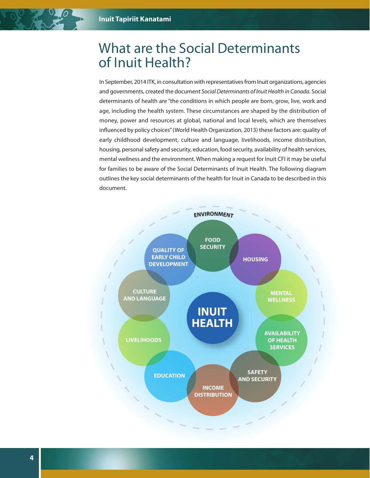# What are the Social Determinants of Inuit Health?

In September, 2014 ITK, in consultation with representatives from Inuit organizations, agencies and governments, created the document Social Determinants of Inuit Health in Canada. Social determinants of health are "the conditions in which people are born, grow, live, work and age, including the health system. These circumstances are shaped by the distribution of money, power and resources at global, national and local levels, which are themselves influenced by policy choices" (World Health Organization, 2013) these factors are: quality of early childhood development, culture and language, livelihoods, income distribution, housing, personal safety and security, education, food security, availability of health services, mental wellness and the environment. When making a request for Inuit CFI it may be useful for families to be aware of the Social Determinants of Inuit Health. The following diagram outlines the key social determinants of the health for Inuit in Canada to be described in this document.

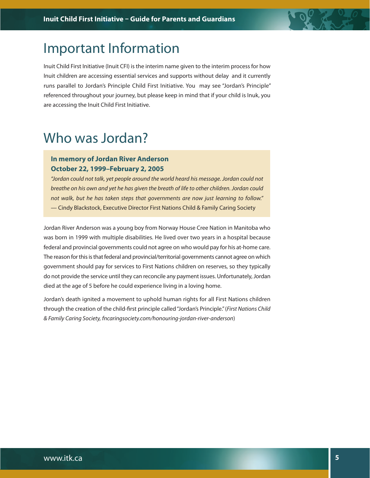

# Important Information

Inuit Child First Initiative (Inuit CFI) is the interim name given to the interim process for how Inuit children are accessing essential services and supports without delay and it currently runs parallel to Jordan's Principle Child First Initiative. You may see "Jordan's Principle" referenced throughout your journey, but please keep in mind that if your child is Inuk, you are accessing the Inuit Child First Initiative.

# Who was Jordan?

## **In memory of Jordan River Anderson October 22, 1999–February 2, 2005**

"Jordan could not talk, yet people around the world heard his message. Jordan could not breathe on his own and yet he has given the breath of life to other children. Jordan could not walk, but he has taken steps that governments are now just learning to follow." — Cindy Blackstock, Executive Director First Nations Child & Family Caring Society

Jordan River Anderson was a young boy from Norway House Cree Nation in Manitoba who was born in 1999 with multiple disabilities. He lived over two years in a hospital because federal and provincial governments could not agree on who would pay for his at-home care. The reason for this is that federal and provincial/territorial governments cannot agree on which government should pay for services to First Nations children on reserves, so they typically do not provide the service until they can reconcile any payment issues. Unfortunately, Jordan died at the age of 5 before he could experience living in a loving home.

Jordan's death ignited a movement to uphold human rights for all First Nations children through the creation of the child-first principle called "Jordan's Principle." (First Nations Child & Family Caring Society, fncaringsociety.com/honouring-jordan-river-anderson)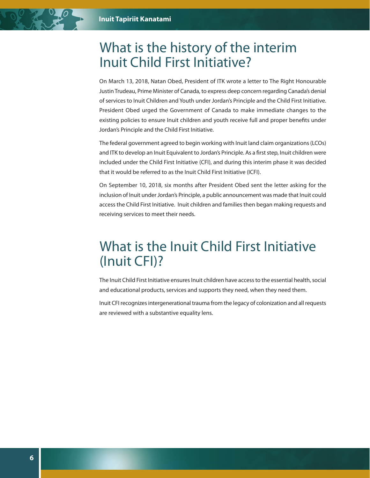# What is the history of the interim Inuit Child First Initiative?

On March 13, 2018, Natan Obed, President of ITK wrote a letter to The Right Honourable Justin Trudeau, Prime Minister of Canada, to express deep concern regarding Canada's denial of services to Inuit Children and Youth under Jordan's Principle and the Child First Initiative. President Obed urged the Government of Canada to make immediate changes to the existing policies to ensure Inuit children and youth receive full and proper benefits under Jordan's Principle and the Child First Initiative.

The federal government agreed to begin working with Inuit land claim organizations (LCOs) and ITK to develop an Inuit Equivalent to Jordan's Principle. As a first step, Inuit children were included under the Child First Initiative (CFI), and during this interim phase it was decided that it would be referred to as the Inuit Child First Initiative (ICFI).

On September 10, 2018, six months after President Obed sent the letter asking for the inclusion of Inuit under Jordan's Principle, a public announcement was made that Inuit could access the Child First Initiative. Inuit children and families then began making requests and receiving services to meet their needs.

# What is the Inuit Child First Initiative (Inuit CFI)?

The Inuit Child First Initiative ensures Inuit children have access to the essential health, social and educational products, services and supports they need, when they need them.

Inuit CFI recognizes intergenerational trauma from the legacy of colonization and all requests are reviewed with a substantive equality lens.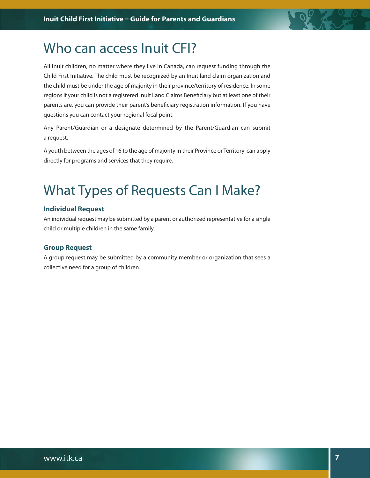

# Who can access Inuit CFI?

All Inuit children, no matter where they live in Canada, can request funding through the Child First Initiative. The child must be recognized by an Inuit land claim organization and the child must be under the age of majority in their province/territory of residence. In some regions if your child is not a registered Inuit Land Claims Beneficiary but at least one of their parents are, you can provide their parent's beneficiary registration information. If you have questions you can contact your regional focal point.

Any Parent/Guardian or a designate determined by the Parent/Guardian can submit a request.

A youth between the ages of 16 to the age of majority in their Province or Territory can apply directly for programs and services that they require.

# What Types of Requests Can I Make?

## **Individual Request**

An individual request may be submitted by a parent or authorized representative for a single child or multiple children in the same family.

## **Group Request**

A group request may be submitted by a community member or organization that sees a collective need for a group of children.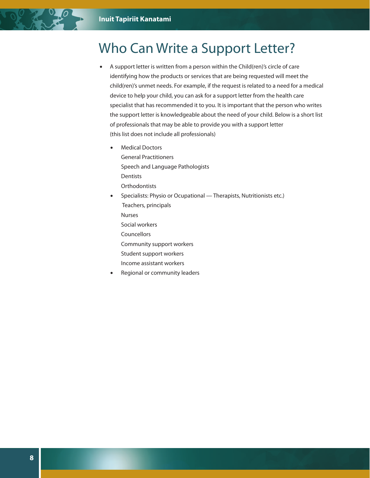# Who Can Write a Support Letter?

- A support letter is written from a person within the Child(ren)'s circle of care identifying how the products or services that are being requested will meet the child(ren)'s unmet needs. For example, if the request is related to a need for a medical device to help your child, you can ask for a support letter from the health care specialist that has recommended it to you. It is important that the person who writes the support letter is knowledgeable about the need of your child. Below is a short list of professionals that may be able to provide you with a support letter (this list does not include all professionals)
	- Medical Doctors General Practitioners

 Speech and Language Pathologists Dentists **Orthodontists** 

- Specialists: Physio or Ocupational Therapists, Nutritionists etc.) Teachers, principals Nurses Social workers **Councellors** 
	- Community support workers
	- Student support workers
	- Income assistant workers
- Regional or community leaders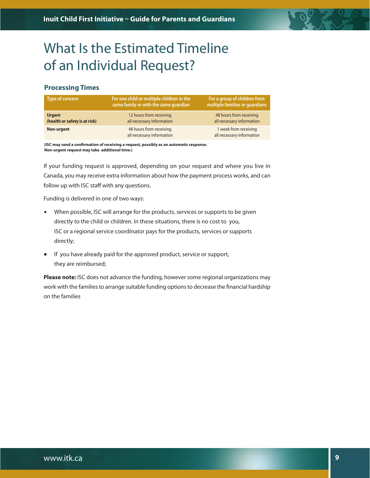

# What Is the Estimated Timeline of an Individual Request?

## **Processing Times**

| Type of concern                                | For one child or multiple children in the<br>same family or with the same guardian | For a group of children from<br>multiple families or guardians |
|------------------------------------------------|------------------------------------------------------------------------------------|----------------------------------------------------------------|
| <b>Urgent</b><br>(health or safety is at risk) | 12 hours from receiving<br>all necessary information                               | 48 hours from receiving<br>all necessary information           |
| Non-urgent                                     | 48 hours from receiving<br>all necessary information                               | 1 week from receiving<br>all necessary information             |

**(ISC may send a confirmation of receiving a request, possibly as an automatic response. Non-urgent request may take additional time.)**

If your funding request is approved, depending on your request and where you live in Canada, you may receive extra information about how the payment process works, and can follow up with ISC staff with any questions.

Funding is delivered in one of two ways:

- When possible, ISC will arrange for the products, services or supports to be given directly to the child or children. In these situations, there is no cost to you, ISC or a regional service coordinator pays for the products, services or supports directly;
- If you have already paid for the approved product, service or support, they are reimbursed;

**Please note:** ISC does not advance the funding, however some regional organizations may work with the families to arrange suitable funding options to decrease the financial hardship on the families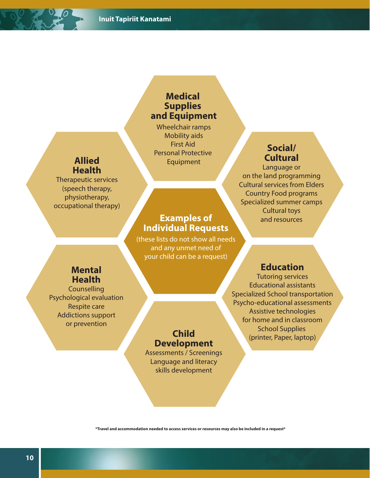## **Medical Supplies and Equipment**

Wheelchair ramps Mobility aids First Aid Personal Protective Equipment

# **Examples of Individual Requests**

(these lists do not show all needs and any unmet need of your child can be a request)

## **Mental Health**

**Allied Health** Therapeutic services (speech therapy, physiotherapy, occupational therapy)

**Counselling** Psychological evaluation Respite care Addictions support or prevention

## Tutoring services Educational assistants

Specialized School transportation Psycho-educational assessments Assistive technologies for home and in classroom School Supplies (printer, Paper, laptop)

**Education**

**Social/ Cultural** Language or on the land programming Cultural services from Elders Country Food programs Specialized summer camps Cultural toys and resources

# **Child Development**

Assessments / Screenings Language and literacy skills development

**\*Travel and accommodation needed to access services or resources may also be included in a request\***

**10**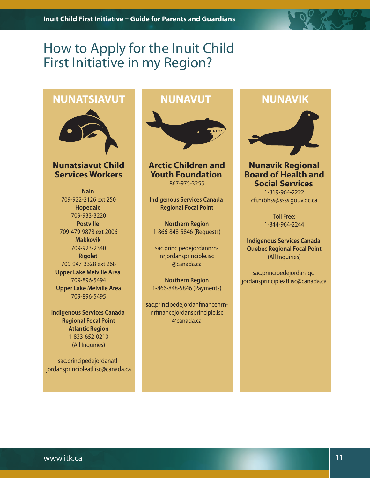# How to Apply for the Inuit Child First Initiative in my Region?

# **NUNATSIAVUT NUNAVUT NUNAVIK**



**Nunatsiavut Child Services Workers**

**Nain** 709-922-2126 ext 250 **Hopedale** 709-933-3220 **Postville** 709-479-9878 ext 2006 **Makkovik** 709-923-2340 **Rigolet**  709-947-3328 ext 268 **Upper Lake Melville Area** 709-896-5494  **Upper Lake Melville Are**a 709-896-5495

**Indigenous Services Canada Regional Focal Point Atlantic Region** 1-833-652-0210 (All Inquiries)

sac.principedejordanatljordansprincipleatl.isc@canada.ca



**Arctic Children and Youth Foundation** 867-975-3255

**Indigenous Services Canada Regional Focal Point**

**Northern Region** 1-866-848-5846 (Requests)

sac.principedejordannrnnrjordansprinciple.isc @canada.ca

**Northern Region** 1-866-848-5846 (Payments)

sac.principedejordanfinancenrnnrfinancejordansprinciple.isc @canada.ca



## **Nunavik Regional Board of Health and Social Services**

1-819-964-2222 cfi.nrbhss@ssss.gouv.qc.ca

> Toll Free: 1-844-964-2244

**Indigenous Services Canada Quebec Regional Focal Point** (All Inquiries)

sac.principedejordan-qcjordansprincipleatl.isc@canada.ca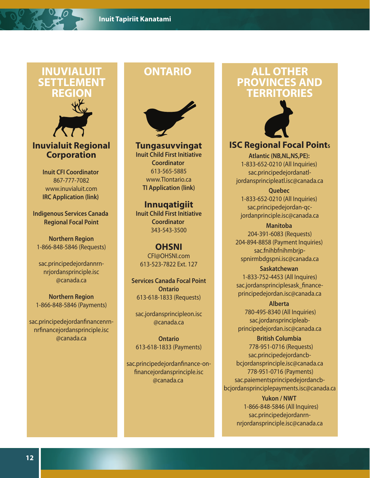# **INUVIALUIT SETTLEMENT REGION**



**Inuvialuit Regional Corporation**

> **Inuit CFI Coordinator** 867-777-7082 www.inuvialuit.com **IRC Application (link)**

**Indigenous Services Canada Regional Focal Point**

**Northern Region** 1-866-848-5846 (Requests)

sac.principedejordannrnnrjordansprinciple.isc @canada.ca

**Northern Region** 1-866-848-5846 (Payments)

sac.principedejordanfinancenrnnrfinancejordansprinciple.isc @canada.ca



**Tungasuvvingat Inuit Child First Initiative Coordinator** 613-565-5885 www.TIontario.ca **TI Application (link)**

**Innuqatigiit Inuit Child First Initiative Coordinator** 343-543-3500

**OHSNI** CFI@OHSNI.com 613-523-7822 Ext. 127

**Services Canada Focal Point Ontario** 613-618-1833 (Requests)

sac.jordansprincipleon.isc @canada.ca

**Ontario** 613-618-1833 (Payments)

sac.principedejordanfinance-onfinancejordansprinciple.isc @canada.ca

# **ONTARIO ALL OTHER PROVINCES AND TERRITORIES**



**ISC Regional Focal Point<sup>s</sup>**

**Atlantic (NB,NL,NS,PE):**  1-833-652-0210 (All Inquiries) sac.principedejordanatljordansprincipleatl.isc@canada.ca

**Quebec**  1-833-652-0210 (All Inquiries) sac.principedejordan-qcjordanprinciple.isc@canada.ca

**Manitoba**  204-391-6083 (Requests) 204-894-8858 (Payment Inquiries) sac.fnihbfnihmbrjpspnirmbdgspni.isc@canada.ca

**Saskatchewan**  1-833-752-4453 (All Inquires) sac.jordansprinciplesask\_financeprincipedejordan.isc@canada.ca

**Alberta**  780-495-8340 (All Inquiries) sac.jordansprincipleabprincipedejordan.isc@canada.ca

**British Columbia**  778-951-0716 (Requests) sac.principedejordancbbcjordansprinciple.isc@canada.ca 778-951-0716 (Payments) sac.paiementsprincipedejordancbbcjordansprinciplepayments.isc@canada.ca

> **Yukon / NWT**  1-866-848-5846 (All Inquires) sac.principedejordanrnnrjordansprinciple.isc@canada.ca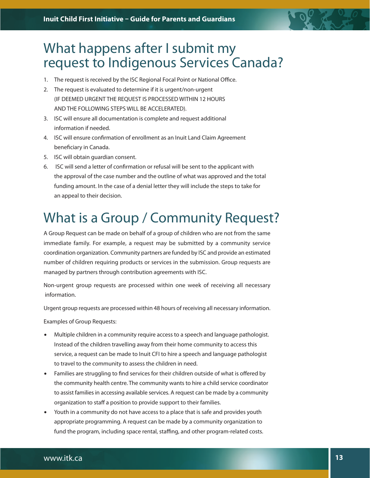

- 1. The request is received by the ISC Regional Focal Point or National Office.
- 2. The request is evaluated to determine if it is urgent/non-urgent (IF DEEMED URGENT THE REQUEST IS PROCESSED WITHIN 12 HOURS AND THE FOLLOWING STEPS WILL BE ACCELERATED).
- 3. ISC will ensure all documentation is complete and request additional information if needed.
- 4. ISC will ensure confirmation of enrollment as an Inuit Land Claim Agreement beneficiary in Canada.
- 5. ISC will obtain guardian consent.
- 6. ISC will send a letter of confirmation or refusal will be sent to the applicant with the approval of the case number and the outline of what was approved and the total funding amount. In the case of a denial letter they will include the steps to take for an appeal to their decision.

# What is a Group / Community Request?

A Group Request can be made on behalf of a group of children who are not from the same immediate family. For example, a request may be submitted by a community service coordination organization. Community partners are funded by ISC and provide an estimated number of children requiring products or services in the submission. Group requests are managed by partners through contribution agreements with ISC.

Non-urgent group requests are processed within one week of receiving all necessary information.

Urgent group requests are processed within 48 hours of receiving all necessary information.

Examples of Group Requests:

- Multiple children in a community require access to a speech and language pathologist. Instead of the children travelling away from their home community to access this service, a request can be made to Inuit CFI to hire a speech and language pathologist to travel to the community to assess the children in need.
- Families are struggling to find services for their children outside of what is offered by the community health centre. The community wants to hire a child service coordinator to assist families in accessing available services. A request can be made by a community organization to staff a position to provide support to their families.
- Youth in a community do not have access to a place that is safe and provides youth appropriate programming. A request can be made by a community organization to fund the program, including space rental, staffing, and other program-related costs.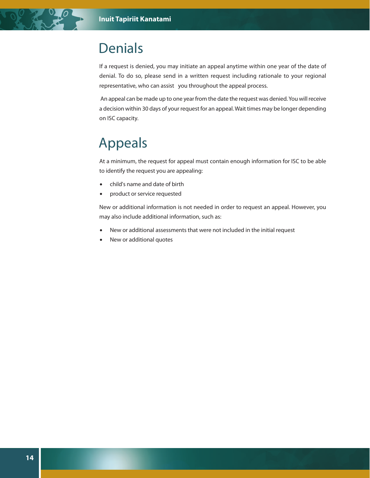# Denials

If a request is denied, you may initiate an appeal anytime within one year of the date of denial. To do so, please send in a written request including rationale to your regional representative, who can assist you throughout the appeal process.

 An appeal can be made up to one year from the date the request was denied. You will receive a decision within 30 days of your request for an appeal. Wait times may be longer depending on ISC capacity.

# Appeals

At a minimum, the request for appeal must contain enough information for ISC to be able to identify the request you are appealing:

- child's name and date of birth
- product or service requested

New or additional information is not needed in order to request an appeal. However, you may also include additional information, such as:

- New or additional assessments that were not included in the initial request
- New or additional quotes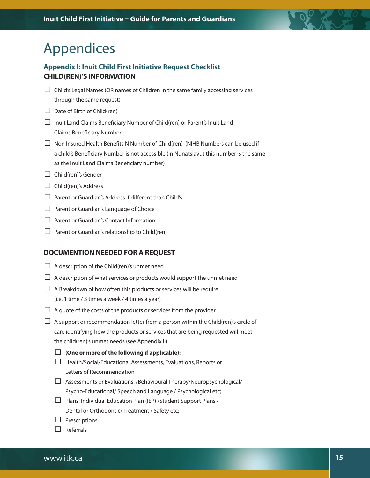# Appendices

## **Appendix I: Inuit Child First Initiative Request Checklist CHILD(REN)'S INFORMATION**

- $\Box$  Child's Legal Names (OR names of Children in the same family accessing services through the same request)
- $\Box$  Date of Birth of Child(ren)
- $\Box$  Inuit Land Claims Beneficiary Number of Child(ren) or Parent's Inuit Land Claims Beneficiary Number
- $\Box$  Non Insured Health Benefits N Number of Child(ren) (NIHB Numbers can be used if a child's Beneficiary Number is not accessible (In Nunatsiavut this number is the same as the Inuit Land Claims Beneficiary number)
- $\Box$  Child(ren)'s Gender
- □ Child(ren)'s Address
- $\Box$  Parent or Guardian's Address if different than Child's
- □ Parent or Guardian's Language of Choice
- ☐ Parent or Guardian's Contact Information
- $\Box$  Parent or Guardian's relationship to Child(ren)

## **DOCUMENTION NEEDED FOR A REQUEST**

- $\Box$  A description of the Child(ren)'s unmet need
- $\Box$  A description of what services or products would support the unmet need
- $\Box$  A Breakdown of how often this products or services will be require (i.e, 1 time / 3 times a week / 4 times a year)
- $\Box$  A quote of the costs of the products or services from the provider
- $\Box$  A support or recommendation letter from a person within the Child(ren)'s circle of care identifying how the products or services that are being requested will meet the child(ren)'s unmet needs (see Appendix II)
	- ☐ **(One or more of the following if applicable):**
	- ☐ Health/Social/Educational Assessments, Evaluations, Reports or Letters of Recommendation
	- ☐ Assessments or Evaluations: /Behavioural Therapy/Neuropsychological/ Psycho-Educational/ Speech and Language / Psychological etc;
	- ☐ Plans: Individual Education Plan (IEP) /Student Support Plans / Dental or Orthodontic/ Treatment / Safety etc;
	- $\Box$  Prescriptions
	- ☐ Referrals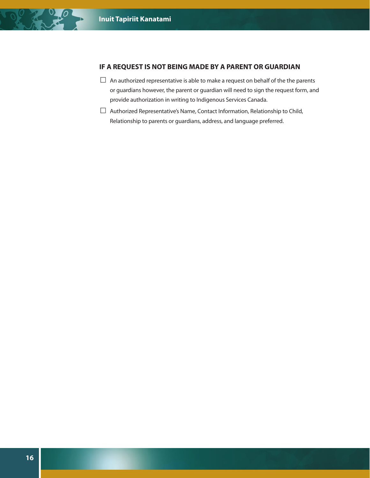## **IF A REQUEST IS NOT BEING MADE BY A PARENT OR GUARDIAN**

- $\Box$  An authorized representative is able to make a request on behalf of the the parents or guardians however, the parent or guardian will need to sign the request form, and provide authorization in writing to Indigenous Services Canada.
- $\Box$  Authorized Representative's Name, Contact Information, Relationship to Child, Relationship to parents or guardians, address, and language preferred.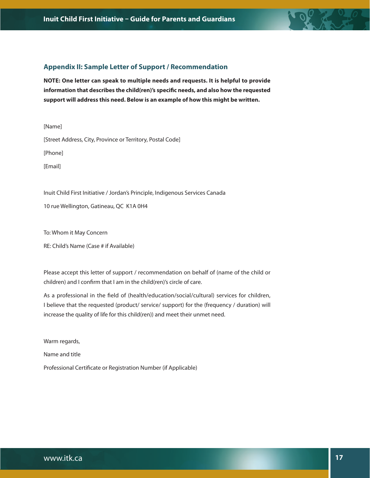

## **Appendix II: Sample Letter of Support / Recommendation**

**NOTE: One letter can speak to multiple needs and requests. It is helpful to provide information that describes the child(ren)'s specific needs, and also how the requested support will address this need. Below is an example of how this might be written.**

[Name] [Street Address, City, Province or Territory, Postal Code]

[Phone]

[Email]

Inuit Child First Initiative / Jordan's Principle, Indigenous Services Canada

10 rue Wellington, Gatineau, QC K1A 0H4

To: Whom it May Concern

RE: Child's Name (Case # if Available)

Please accept this letter of support / recommendation on behalf of (name of the child or children) and I confirm that I am in the child(ren)'s circle of care.

As a professional in the field of (health/education/social/cultural) services for children, I believe that the requested (product/ service/ support) for the (frequency / duration) will increase the quality of life for this child(ren)) and meet their unmet need.

Warm regards,

Name and title

Professional Certificate or Registration Number (if Applicable)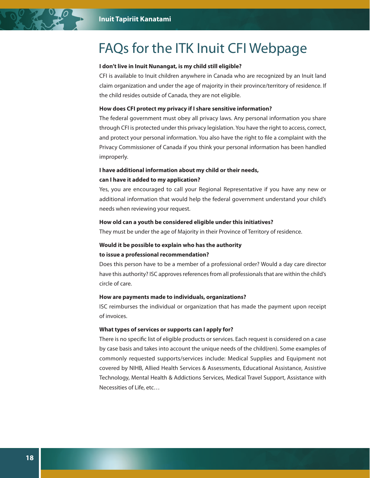# FAQs for the ITK Inuit CFI Webpage

### **I don't live in Inuit Nunangat, is my child still eligible?**

CFI is available to Inuit children anywhere in Canada who are recognized by an Inuit land claim organization and under the age of majority in their province/territory of residence. If the child resides outside of Canada, they are not eligible.

#### **How does CFI protect my privacy if I share sensitive information?**

The federal government must obey all privacy laws. Any personal information you share through CFI is protected under this privacy legislation. You have the right to access, correct, and protect your personal information. You also have the right to file a complaint with the Privacy Commissioner of Canada if you think your personal information has been handled improperly.

## **I have additional information about my child or their needs, can I have it added to my application?**

Yes, you are encouraged to call your Regional Representative if you have any new or additional information that would help the federal government understand your child's needs when reviewing your request.

### **How old can a youth be considered eligible under this initiatives?**

They must be under the age of Majority in their Province of Territory of residence.

## **Would it be possible to explain who has the authority to issue a professional recommendation?**

Does this person have to be a member of a professional order? Would a day care director have this authority? ISC approves references from all professionals that are within the child's circle of care.

#### **How are payments made to individuals, organizations?**

ISC reimburses the individual or organization that has made the payment upon receipt of invoices.

#### **What types of services or supports can I apply for?**

There is no specific list of eligible products or services. Each request is considered on a case by case basis and takes into account the unique needs of the child(ren). Some examples of commonly requested supports/services include: Medical Supplies and Equipment not covered by NIHB, Allied Health Services & Assessments, Educational Assistance, Assistive Technology, Mental Health & Addictions Services, Medical Travel Support, Assistance with Necessities of Life, etc…